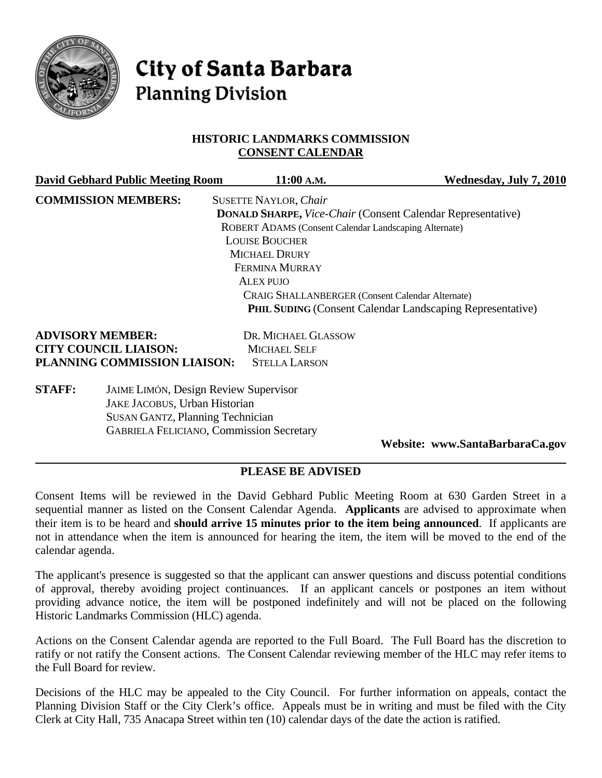

# **City of Santa Barbara Planning Division**

### **HISTORIC LANDMARKS COMMISSION CONSENT CALENDAR**

|                              | <b>David Gebhard Public Meeting Room</b>        | 11:00 A.M.                                                         | Wednesday, July 7, 2010                                          |
|------------------------------|-------------------------------------------------|--------------------------------------------------------------------|------------------------------------------------------------------|
|                              | <b>COMMISSION MEMBERS:</b>                      | <b>SUSETTE NAYLOR, Chair</b>                                       |                                                                  |
|                              |                                                 | <b>DONALD SHARPE, Vice-Chair (Consent Calendar Representative)</b> |                                                                  |
|                              |                                                 | ROBERT ADAMS (Consent Calendar Landscaping Alternate)              |                                                                  |
|                              |                                                 | <b>LOUISE BOUCHER</b>                                              |                                                                  |
|                              |                                                 | MICHAEL DRURY                                                      |                                                                  |
|                              |                                                 | <b>FERMINA MURRAY</b>                                              |                                                                  |
|                              |                                                 | ALEX PUJO                                                          |                                                                  |
|                              |                                                 | <b>CRAIG SHALLANBERGER (Consent Calendar Alternate)</b>            |                                                                  |
|                              |                                                 |                                                                    | <b>PHIL SUDING (Consent Calendar Landscaping Representative)</b> |
| <b>ADVISORY MEMBER:</b>      |                                                 | DR. MICHAEL GLASSOW                                                |                                                                  |
| <b>CITY COUNCIL LIAISON:</b> |                                                 | <b>MICHAEL SELF</b>                                                |                                                                  |
|                              | PLANNING COMMISSION LIAISON:                    | <b>STELLA LARSON</b>                                               |                                                                  |
| <b>STAFF:</b>                | <b>JAIME LIMÓN, Design Review Supervisor</b>    |                                                                    |                                                                  |
|                              | <b>JAKE JACOBUS, Urban Historian</b>            |                                                                    |                                                                  |
|                              | <b>SUSAN GANTZ, Planning Technician</b>         |                                                                    |                                                                  |
|                              | <b>GABRIELA FELICIANO, Commission Secretary</b> |                                                                    |                                                                  |

**Website: www.SantaBarbaraCa.gov** 

## **PLEASE BE ADVISED**

Consent Items will be reviewed in the David Gebhard Public Meeting Room at 630 Garden Street in a sequential manner as listed on the Consent Calendar Agenda. **Applicants** are advised to approximate when their item is to be heard and **should arrive 15 minutes prior to the item being announced**. If applicants are not in attendance when the item is announced for hearing the item, the item will be moved to the end of the calendar agenda.

The applicant's presence is suggested so that the applicant can answer questions and discuss potential conditions of approval, thereby avoiding project continuances. If an applicant cancels or postpones an item without providing advance notice, the item will be postponed indefinitely and will not be placed on the following Historic Landmarks Commission (HLC) agenda.

Actions on the Consent Calendar agenda are reported to the Full Board. The Full Board has the discretion to ratify or not ratify the Consent actions. The Consent Calendar reviewing member of the HLC may refer items to the Full Board for review.

Decisions of the HLC may be appealed to the City Council. For further information on appeals, contact the Planning Division Staff or the City Clerk's office. Appeals must be in writing and must be filed with the City Clerk at City Hall, 735 Anacapa Street within ten (10) calendar days of the date the action is ratified.